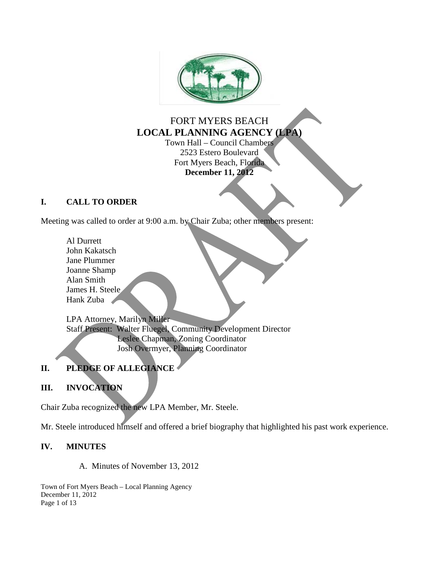

# FORT MYERS BEACH **LOCAL PLANNING AGENCY (LPA)** Town Hall – Council Chambers

2523 Estero Boulevard Fort Myers Beach, Florida **December 11, 2012**

## **I. CALL TO ORDER**

Meeting was called to order at 9:00 a.m. by Chair Zuba; other members present:

Al Durrett John Kakatsch Jane Plummer Joanne Shamp Alan Smith James H. Steele Hank Zuba

LPA Attorney, Marilyn Miller Staff Present: Walter Fluegel, Community Development Director Leslee Chapman, Zoning Coordinator Josh Overmyer, Planning Coordinator

# **II. PLEDGE OF ALLEGIANCE**

# **III. INVOCATION**

Chair Zuba recognized the new LPA Member, Mr. Steele.

Mr. Steele introduced himself and offered a brief biography that highlighted his past work experience.

## **IV. MINUTES**

A. Minutes of November 13, 2012

Town of Fort Myers Beach – Local Planning Agency December 11, 2012 Page 1 of 13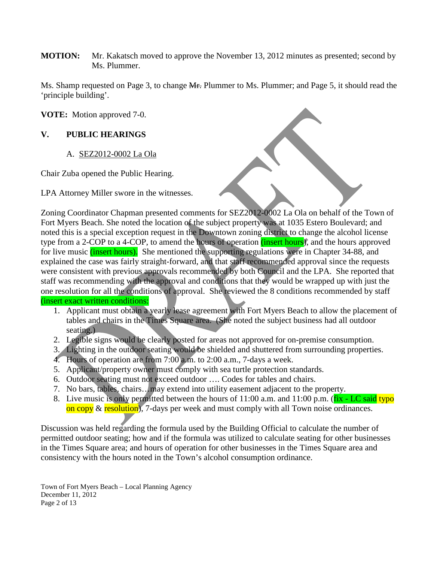**MOTION:** Mr. Kakatsch moved to approve the November 13, 2012 minutes as presented; second by Ms. Plummer.

Ms. Shamp requested on Page 3, to change Mr. Plummer to Ms. Plummer; and Page 5, it should read the 'principle building'.

**VOTE:** Motion approved 7-0.

### **V. PUBLIC HEARINGS**

A. SEZ2012-0002 La Ola

Chair Zuba opened the Public Hearing.

LPA Attorney Miller swore in the witnesses.

Zoning Coordinator Chapman presented comments for SEZ2012-0002 La Ola on behalf of the Town of Fort Myers Beach. She noted the location of the subject property was at 1035 Estero Boulevard; and noted this is a special exception request in the Downtown zoning district to change the alcohol license type from a 2-COP to a 4-COP, to amend the hours of operation (*insert hours*), and the hours approved for live music (insert hours). She mentioned the supporting regulations were in Chapter 34-88, and explained the case was fairly straight-forward, and that staff recommended approval since the requests were consistent with previous approvals recommended by both Council and the LPA. She reported that staff was recommending with the approval and conditions that they would be wrapped up with just the one resolution for all the conditions of approval. She reviewed the 8 conditions recommended by staff (insert exact written conditions:

- 1. Applicant must obtain a yearly lease agreement with Fort Myers Beach to allow the placement of tables and chairs in the Times Square area. (She noted the subject business had all outdoor seating.)
- 2. Legible signs would be clearly posted for areas not approved for on-premise consumption.
- 3. Lighting in the outdoor seating would be shielded and shuttered from surrounding properties.
- 4. Hours of operation are from 7:00 a.m. to 2:00 a.m., 7-days a week.
- 5. Applicant/property owner must comply with sea turtle protection standards.
- 6. Outdoor seating must not exceed outdoor …. Codes for tables and chairs.
- 7. No bars, tables, chairs... may extend into utility easement adjacent to the property.
- 8. Live music is only permitted between the hours of  $11:00$  a.m. and  $11:00$  p.m. ( $fix$  LC said typo on copy  $\&$  resolution), 7-days per week and must comply with all Town noise ordinances.

Discussion was held regarding the formula used by the Building Official to calculate the number of permitted outdoor seating; how and if the formula was utilized to calculate seating for other businesses in the Times Square area; and hours of operation for other businesses in the Times Square area and consistency with the hours noted in the Town's alcohol consumption ordinance.

Town of Fort Myers Beach – Local Planning Agency December 11, 2012 Page 2 of 13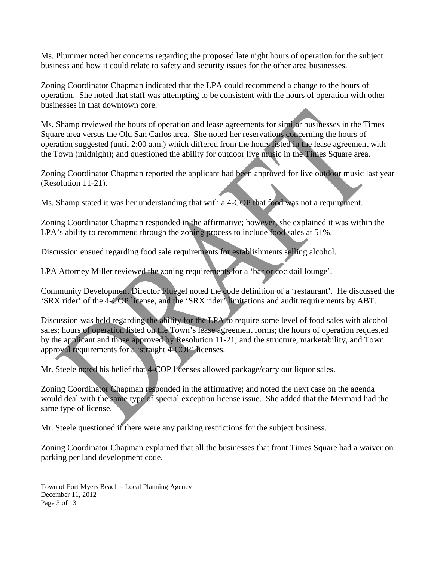Ms. Plummer noted her concerns regarding the proposed late night hours of operation for the subject business and how it could relate to safety and security issues for the other area businesses.

Zoning Coordinator Chapman indicated that the LPA could recommend a change to the hours of operation. She noted that staff was attempting to be consistent with the hours of operation with other businesses in that downtown core.

Ms. Shamp reviewed the hours of operation and lease agreements for similar businesses in the Times Square area versus the Old San Carlos area. She noted her reservations concerning the hours of operation suggested (until 2:00 a.m.) which differed from the hours listed in the lease agreement with the Town (midnight); and questioned the ability for outdoor live music in the Times Square area.

Zoning Coordinator Chapman reported the applicant had been approved for live outdoor music last year (Resolution 11-21).

Ms. Shamp stated it was her understanding that with a 4-COP that food was not a requirement.

Zoning Coordinator Chapman responded in the affirmative; however, she explained it was within the LPA's ability to recommend through the zoning process to include food sales at 51%.

Discussion ensued regarding food sale requirements for establishments selling alcohol.

LPA Attorney Miller reviewed the zoning requirements for a 'bar or cocktail lounge'.

Community Development Director Fluegel noted the code definition of a 'restaurant'. He discussed the 'SRX rider' of the 4-COP license, and the 'SRX rider' limitations and audit requirements by ABT.

Discussion was held regarding the ability for the LPA to require some level of food sales with alcohol sales; hours of operation listed on the Town's lease agreement forms; the hours of operation requested by the applicant and those approved by Resolution 11-21; and the structure, marketability, and Town approval requirements for a 'straight 4-COP' licenses.

Mr. Steele noted his belief that 4-COP licenses allowed package/carry out liquor sales.

Zoning Coordinator Chapman responded in the affirmative; and noted the next case on the agenda would deal with the same type of special exception license issue. She added that the Mermaid had the same type of license.

Mr. Steele questioned if there were any parking restrictions for the subject business.

Zoning Coordinator Chapman explained that all the businesses that front Times Square had a waiver on parking per land development code.

Town of Fort Myers Beach – Local Planning Agency December 11, 2012 Page 3 of 13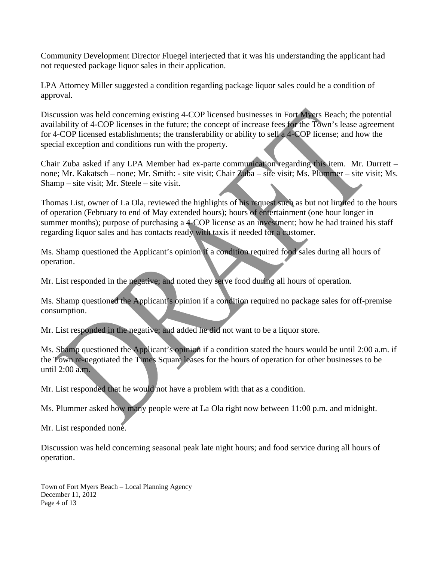Community Development Director Fluegel interjected that it was his understanding the applicant had not requested package liquor sales in their application.

LPA Attorney Miller suggested a condition regarding package liquor sales could be a condition of approval.

Discussion was held concerning existing 4-COP licensed businesses in Fort Myers Beach; the potential availability of 4-COP licenses in the future; the concept of increase fees for the Town's lease agreement for 4-COP licensed establishments; the transferability or ability to sell a 4-COP license; and how the special exception and conditions run with the property.

Chair Zuba asked if any LPA Member had ex-parte communication regarding this item. Mr. Durrett – none; Mr. Kakatsch – none; Mr. Smith: - site visit; Chair Zuba – site visit; Ms. Plummer – site visit; Ms. Shamp – site visit; Mr. Steele – site visit.

Thomas List, owner of La Ola, reviewed the highlights of his request such as but not limited to the hours of operation (February to end of May extended hours); hours of entertainment (one hour longer in summer months); purpose of purchasing a 4-COP license as an investment; how he had trained his staff regarding liquor sales and has contacts ready with taxis if needed for a customer.

Ms. Shamp questioned the Applicant's opinion if a condition required food sales during all hours of operation.

Mr. List responded in the negative; and noted they serve food during all hours of operation.

Ms. Shamp questioned the Applicant's opinion if a condition required no package sales for off-premise consumption.

Mr. List responded in the negative; and added he did not want to be a liquor store.

Ms. Shamp questioned the Applicant's opinion if a condition stated the hours would be until 2:00 a.m. if the Town re-negotiated the Times Square leases for the hours of operation for other businesses to be until 2:00 a.m.

Mr. List responded that he would not have a problem with that as a condition.

Ms. Plummer asked how many people were at La Ola right now between 11:00 p.m. and midnight.

Mr. List responded none.

Discussion was held concerning seasonal peak late night hours; and food service during all hours of operation.

Town of Fort Myers Beach – Local Planning Agency December 11, 2012 Page 4 of 13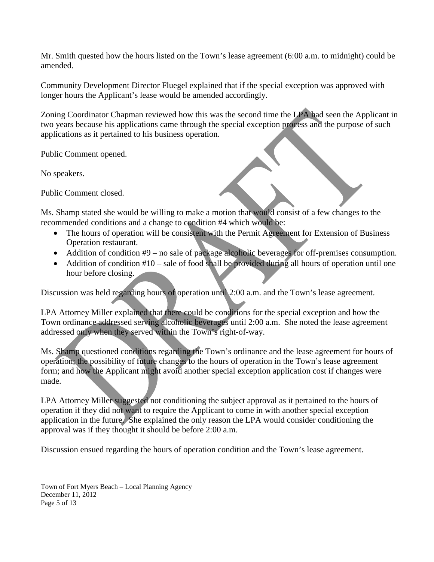Mr. Smith quested how the hours listed on the Town's lease agreement (6:00 a.m. to midnight) could be amended.

Community Development Director Fluegel explained that if the special exception was approved with longer hours the Applicant's lease would be amended accordingly.

Zoning Coordinator Chapman reviewed how this was the second time the LPA had seen the Applicant in two years because his applications came through the special exception process and the purpose of such applications as it pertained to his business operation.

Public Comment opened.

No speakers.

Public Comment closed.

Ms. Shamp stated she would be willing to make a motion that would consist of a few changes to the recommended conditions and a change to condition #4 which would be:

- The hours of operation will be consistent with the Permit Agreement for Extension of Business Operation restaurant.
- Addition of condition #9 no sale of package alcoholic beverages for off-premises consumption.
- Addition of condition  $#10$  sale of food shall be provided during all hours of operation until one hour before closing.

Discussion was held regarding hours of operation until 2:00 a.m. and the Town's lease agreement.

LPA Attorney Miller explained that there could be conditions for the special exception and how the Town ordinance addressed serving alcoholic beverages until 2:00 a.m. She noted the lease agreement addressed only when they served within the Town's right-of-way.

Ms. Shamp questioned conditions regarding the Town's ordinance and the lease agreement for hours of operation; the possibility of future changes to the hours of operation in the Town's lease agreement form; and how the Applicant might avoid another special exception application cost if changes were made.

LPA Attorney Miller suggested not conditioning the subject approval as it pertained to the hours of operation if they did not want to require the Applicant to come in with another special exception application in the future. She explained the only reason the LPA would consider conditioning the approval was if they thought it should be before 2:00 a.m.

Discussion ensued regarding the hours of operation condition and the Town's lease agreement.

Town of Fort Myers Beach – Local Planning Agency December 11, 2012 Page 5 of 13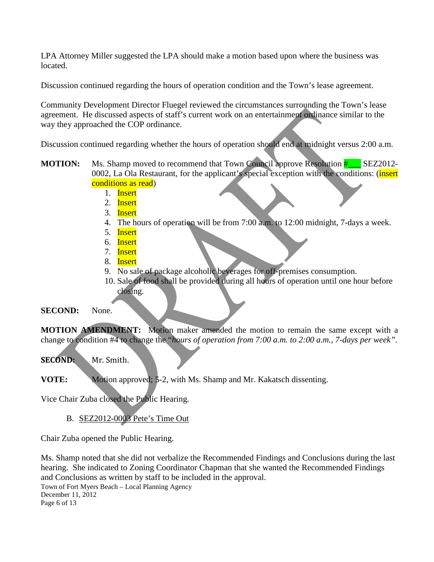LPA Attorney Miller suggested the LPA should make a motion based upon where the business was located.

Discussion continued regarding the hours of operation condition and the Town's lease agreement.

Community Development Director Fluegel reviewed the circumstances surrounding the Town's lease agreement. He discussed aspects of staff's current work on an entertainment ordinance similar to the way they approached the COP ordinance.

Discussion continued regarding whether the hours of operation should end at midnight versus 2:00 a.m.

**MOTION:** Ms. Shamp moved to recommend that Town Council approve Resolution  $\frac{H}{H}$  SEZ2012-0002, La Ola Restaurant, for the applicant's special exception with the conditions: (insert conditions as read)

- 1. Insert
- 2. Insert
- 3. Insert
- 4. The hours of operation will be from 7:00 a.m. to 12:00 midnight, 7-days a week.
- 5. Insert
- 6. Insert
- 7. Insert
- 8. Insert
- 9. No sale of package alcoholic beverages for off-premises consumption.
- 10. Sale of food shall be provided during all hours of operation until one hour before closing.

**SECOND:** None.

**MOTION AMENDMENT:** Motion maker amended the motion to remain the same except with a change to condition #4 to change the "*hours of operation from 7:00 a.m. to 2:00 a.m., 7-days per week"*.

**SECOND:** Mr. Smith.

**VOTE:** Motion approved; 5-2, with Ms. Shamp and Mr. Kakatsch dissenting.

Vice Chair Zuba closed the Public Hearing.

B. SEZ2012-0003 Pete's Time Out

Chair Zuba opened the Public Hearing.

Ms. Shamp noted that she did not verbalize the Recommended Findings and Conclusions during the last hearing. She indicated to Zoning Coordinator Chapman that she wanted the Recommended Findings and Conclusions as written by staff to be included in the approval.

Town of Fort Myers Beach – Local Planning Agency December 11, 2012 Page 6 of 13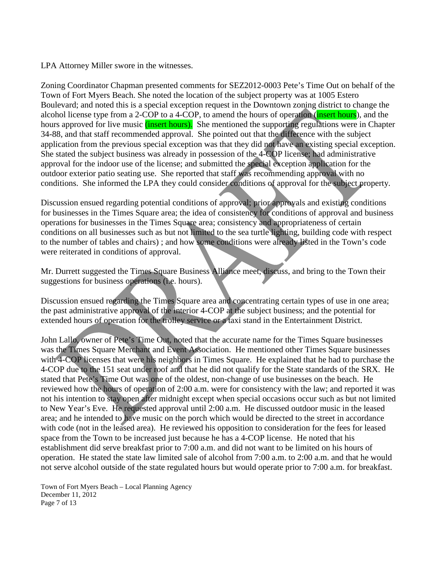LPA Attorney Miller swore in the witnesses.

Zoning Coordinator Chapman presented comments for SEZ2012-0003 Pete's Time Out on behalf of the Town of Fort Myers Beach. She noted the location of the subject property was at 1005 Estero Boulevard; and noted this is a special exception request in the Downtown zoning district to change the alcohol license type from a 2-COP to a 4-COP, to amend the hours of operation (insert hours), and the hours approved for live music (*insert hours*). She mentioned the supporting regulations were in Chapter 34-88, and that staff recommended approval. She pointed out that the difference with the subject application from the previous special exception was that they did not have an existing special exception. She stated the subject business was already in possession of the 4-COP license; had administrative approval for the indoor use of the license; and submitted the special exception application for the outdoor exterior patio seating use. She reported that staff was recommending approval with no conditions. She informed the LPA they could consider conditions of approval for the subject property.

Discussion ensued regarding potential conditions of approval; prior approvals and existing conditions for businesses in the Times Square area; the idea of consistency for conditions of approval and business operations for businesses in the Times Square area; consistency and appropriateness of certain conditions on all businesses such as but not limited to the sea turtle lighting, building code with respect to the number of tables and chairs) ; and how some conditions were already listed in the Town's code were reiterated in conditions of approval.

Mr. Durrett suggested the Times Square Business Alliance meet, discuss, and bring to the Town their suggestions for business operations (i.e. hours).

Discussion ensued regarding the Times Square area and concentrating certain types of use in one area; the past administrative approval of the interior 4-COP at the subject business; and the potential for extended hours of operation for the trolley service or a taxi stand in the Entertainment District.

John Lallo, owner of Pete's Time Out, noted that the accurate name for the Times Square businesses was the Times Square Merchant and Event Association. He mentioned other Times Square businesses with 4-COP licenses that were his neighbors in Times Square. He explained that he had to purchase the 4-COP due to the 151 seat under roof and that he did not qualify for the State standards of the SRX. He stated that Pete's Time Out was one of the oldest, non-change of use businesses on the beach. He reviewed how the hours of operation of 2:00 a.m. were for consistency with the law; and reported it was not his intention to stay open after midnight except when special occasions occur such as but not limited to New Year's Eve. He requested approval until 2:00 a.m. He discussed outdoor music in the leased area; and he intended to have music on the porch which would be directed to the street in accordance with code (not in the leased area). He reviewed his opposition to consideration for the fees for leased space from the Town to be increased just because he has a 4-COP license. He noted that his establishment did serve breakfast prior to 7:00 a.m. and did not want to be limited on his hours of operation. He stated the state law limited sale of alcohol from 7:00 a.m. to 2:00 a.m. and that he would not serve alcohol outside of the state regulated hours but would operate prior to 7:00 a.m. for breakfast.

Town of Fort Myers Beach – Local Planning Agency December 11, 2012 Page 7 of 13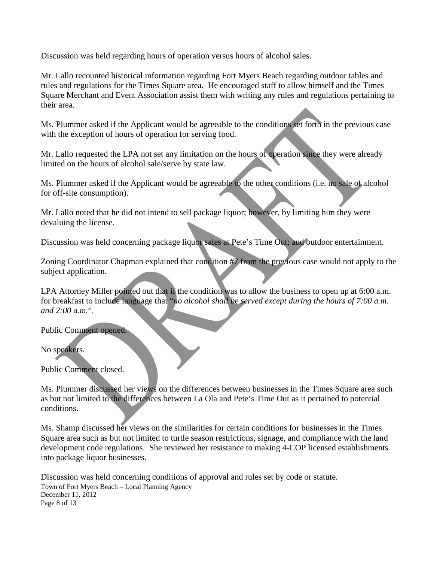Discussion was held regarding hours of operation versus hours of alcohol sales.

Mr. Lallo recounted historical information regarding Fort Myers Beach regarding outdoor tables and rules and regulations for the Times Square area. He encouraged staff to allow himself and the Times Square Merchant and Event Association assist them with writing any rules and regulations pertaining to their area.

Ms. Plummer asked if the Applicant would be agreeable to the conditions set forth in the previous case with the exception of hours of operation for serving food.

Mr. Lallo requested the LPA not set any limitation on the hours of operation since they were already limited on the hours of alcohol sale/serve by state law.

Ms. Plummer asked if the Applicant would be agreeable to the other conditions (i.e. no sale of alcohol for off-site consumption).

Mr. Lallo noted that he did not intend to sell package liquor; however, by limiting him they were devaluing the license.

Discussion was held concerning package liquor sales at Pete's Time Out; and outdoor entertainment.

Zoning Coordinator Chapman explained that condition #7 from the previous case would not apply to the subject application.

LPA Attorney Miller pointed out that if the condition was to allow the business to open up at 6:00 a.m. for breakfast to include language that "*no alcohol shall be served except during the hours of 7:00 a.m. and 2:00 a.m.*".

Public Comment opened.

No speakers.

Public Comment closed.

Ms. Plummer discussed her views on the differences between businesses in the Times Square area such as but not limited to the differences between La Ola and Pete's Time Out as it pertained to potential conditions.

Ms. Shamp discussed her views on the similarities for certain conditions for businesses in the Times Square area such as but not limited to turtle season restrictions, signage, and compliance with the land development code regulations. She reviewed her resistance to making 4-COP licensed establishments into package liquor businesses.

Town of Fort Myers Beach – Local Planning Agency December 11, 2012 Page 8 of 13 Discussion was held concerning conditions of approval and rules set by code or statute.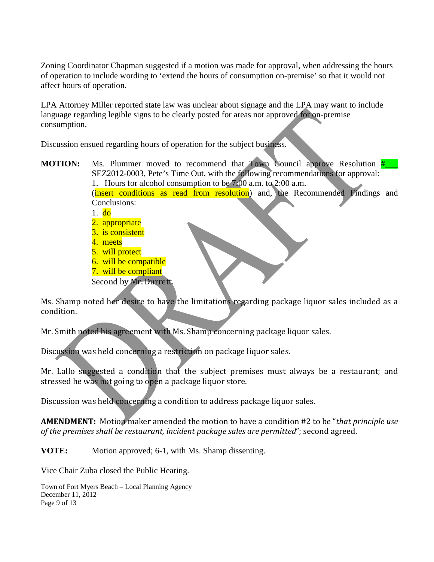Zoning Coordinator Chapman suggested if a motion was made for approval, when addressing the hours of operation to include wording to 'extend the hours of consumption on-premise' so that it would not affect hours of operation.

LPA Attorney Miller reported state law was unclear about signage and the LPA may want to include language regarding legible signs to be clearly posted for areas not approved for on-premise consumption.

Discussion ensued regarding hours of operation for the subject business.

**MOTION:** Ms. Plummer moved to recommend that Town Council approve Resolution  $\frac{H}{H}$ SEZ2012-0003, Pete's Time Out, with the following recommendations for approval: 1. Hours for alcohol consumption to be 7:00 a.m. to 2:00 a.m.

(insert conditions as read from resolution) and, the Recommended Findings and

- Conclusions:
- 1. do
- 2. appropriate
- 3. is consistent
- 4. meets
- 5. will protect
- 6. will be compatible
- 7. will be compliant
- Second by Mr. Durrett.

Ms. Shamp noted her desire to have the limitations regarding package liquor sales included as a condition.

Mr. Smith noted his agreement with Ms. Shamp concerning package liquor sales.

Discussion was held concerning a restriction on package liquor sales.

Mr. Lallo suggested a condition that the subject premises must always be a restaurant; and stressed he was not going to open a package liquor store.

Discussion was held concerning a condition to address package liquor sales.

**AMENDMENT:** Motion maker amended the motion to have a condition #2 to be "*that principle use of the premises shall be restaurant, incident package sales are permitted*"; second agreed.

**VOTE:** Motion approved; 6-1, with Ms. Shamp dissenting.

Vice Chair Zuba closed the Public Hearing.

Town of Fort Myers Beach – Local Planning Agency December 11, 2012 Page 9 of 13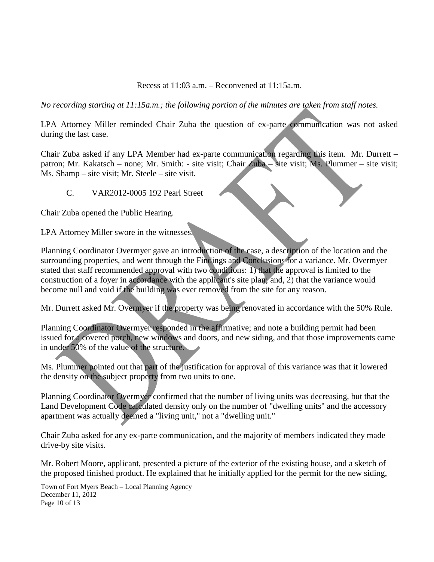Recess at 11:03 a.m. – Reconvened at 11:15a.m.

*No recording starting at 11:15a.m.; the following portion of the minutes are taken from staff notes.*

LPA Attorney Miller reminded Chair Zuba the question of ex-parte communication was not asked during the last case.

Chair Zuba asked if any LPA Member had ex-parte communication regarding this item. Mr. Durrett – patron; Mr. Kakatsch – none; Mr. Smith: - site visit; Chair Zuba – site visit; Ms. Plummer – site visit; Ms. Shamp – site visit; Mr. Steele – site visit.

### C. VAR2012-0005 192 Pearl Street

Chair Zuba opened the Public Hearing.

LPA Attorney Miller swore in the witnesses.

Planning Coordinator Overmyer gave an introduction of the case, a description of the location and the surrounding properties, and went through the Findings and Conclusions for a variance. Mr. Overmyer stated that staff recommended approval with two conditions: 1) that the approval is limited to the construction of a foyer in accordance with the applicant's site plan; and, 2) that the variance would become null and void if the building was ever removed from the site for any reason.

Mr. Durrett asked Mr. Overmyer if the property was being renovated in accordance with the 50% Rule.

Planning Coordinator Overmyer responded in the affirmative; and note a building permit had been issued for a covered porch, new windows and doors, and new siding, and that those improvements came in under 50% of the value of the structure.

Ms. Plummer pointed out that part of the justification for approval of this variance was that it lowered the density on the subject property from two units to one.

Planning Coordinator Overmyer confirmed that the number of living units was decreasing, but that the Land Development Code calculated density only on the number of "dwelling units" and the accessory apartment was actually deemed a "living unit," not a "dwelling unit."

Chair Zuba asked for any ex-parte communication, and the majority of members indicated they made drive-by site visits.

Mr. Robert Moore, applicant, presented a picture of the exterior of the existing house, and a sketch of the proposed finished product. He explained that he initially applied for the permit for the new siding,

Town of Fort Myers Beach – Local Planning Agency December 11, 2012 Page 10 of 13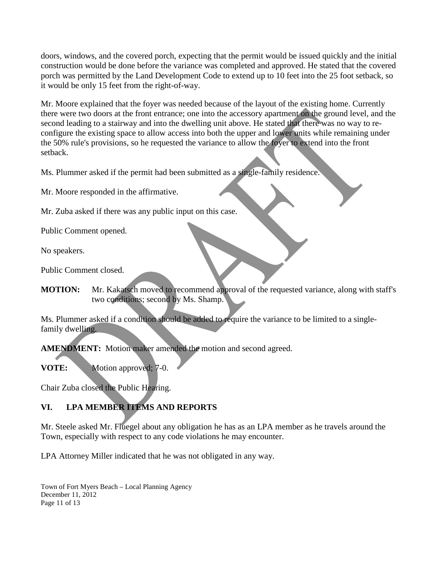doors, windows, and the covered porch, expecting that the permit would be issued quickly and the initial construction would be done before the variance was completed and approved. He stated that the covered porch was permitted by the Land Development Code to extend up to 10 feet into the 25 foot setback, so it would be only 15 feet from the right-of-way.

Mr. Moore explained that the foyer was needed because of the layout of the existing home. Currently there were two doors at the front entrance; one into the accessory apartment on the ground level, and the second leading to a stairway and into the dwelling unit above. He stated that there was no way to reconfigure the existing space to allow access into both the upper and lower units while remaining under the 50% rule's provisions, so he requested the variance to allow the foyer to extend into the front setback.

Ms. Plummer asked if the permit had been submitted as a single-family residence.

Mr. Moore responded in the affirmative.

Mr. Zuba asked if there was any public input on this case.

Public Comment opened.

No speakers.

Public Comment closed.

**MOTION:** Mr. Kakatsch moved to recommend approval of the requested variance, along with staff's two conditions; second by Ms. Shamp.

Ms. Plummer asked if a condition should be added to require the variance to be limited to a singlefamily dwelling.

**AMENDMENT:** Motion maker amended the motion and second agreed.

**VOTE:** Motion approved; 7-0.

Chair Zuba closed the Public Hearing.

# **VI. LPA MEMBER ITEMS AND REPORTS**

Mr. Steele asked Mr. Fluegel about any obligation he has as an LPA member as he travels around the Town, especially with respect to any code violations he may encounter.

LPA Attorney Miller indicated that he was not obligated in any way.

Town of Fort Myers Beach – Local Planning Agency December 11, 2012 Page 11 of 13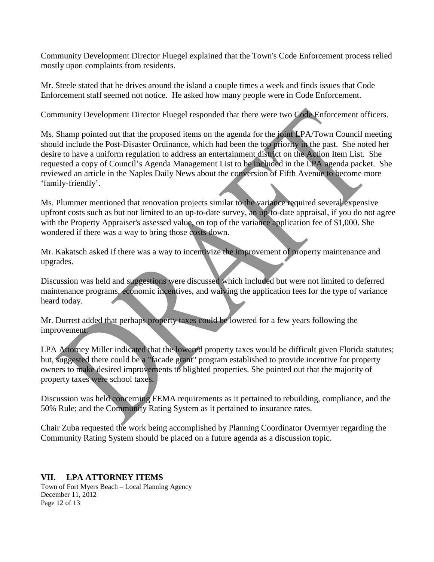Community Development Director Fluegel explained that the Town's Code Enforcement process relied mostly upon complaints from residents.

Mr. Steele stated that he drives around the island a couple times a week and finds issues that Code Enforcement staff seemed not notice. He asked how many people were in Code Enforcement.

Community Development Director Fluegel responded that there were two Code Enforcement officers.

Ms. Shamp pointed out that the proposed items on the agenda for the joint LPA/Town Council meeting should include the Post-Disaster Ordinance, which had been the top priority in the past. She noted her desire to have a uniform regulation to address an entertainment district on the Action Item List. She requested a copy of Council's Agenda Management List to be included in the LPA agenda packet. She reviewed an article in the Naples Daily News about the conversion of Fifth Avenue to become more 'family-friendly'.

Ms. Plummer mentioned that renovation projects similar to the variance required several expensive upfront costs such as but not limited to an up-to-date survey, an up-to-date appraisal, if you do not agree with the Property Appraiser's assessed value, on top of the variance application fee of \$1,000. She wondered if there was a way to bring those costs down.

Mr. Kakatsch asked if there was a way to incentivize the improvement of property maintenance and upgrades.

Discussion was held and suggestions were discussed which included but were not limited to deferred maintenance programs, economic incentives, and waiving the application fees for the type of variance heard today.

Mr. Durrett added that perhaps property taxes could be lowered for a few years following the improvement.

LPA Attorney Miller indicated that the lowered property taxes would be difficult given Florida statutes; but, suggested there could be a "facade grant" program established to provide incentive for property owners to make desired improvements to blighted properties. She pointed out that the majority of property taxes were school taxes.

Discussion was held concerning FEMA requirements as it pertained to rebuilding, compliance, and the 50% Rule; and the Community Rating System as it pertained to insurance rates.

Chair Zuba requested the work being accomplished by Planning Coordinator Overmyer regarding the Community Rating System should be placed on a future agenda as a discussion topic.

### **VII. LPA ATTORNEY ITEMS**

Town of Fort Myers Beach – Local Planning Agency December 11, 2012 Page 12 of 13